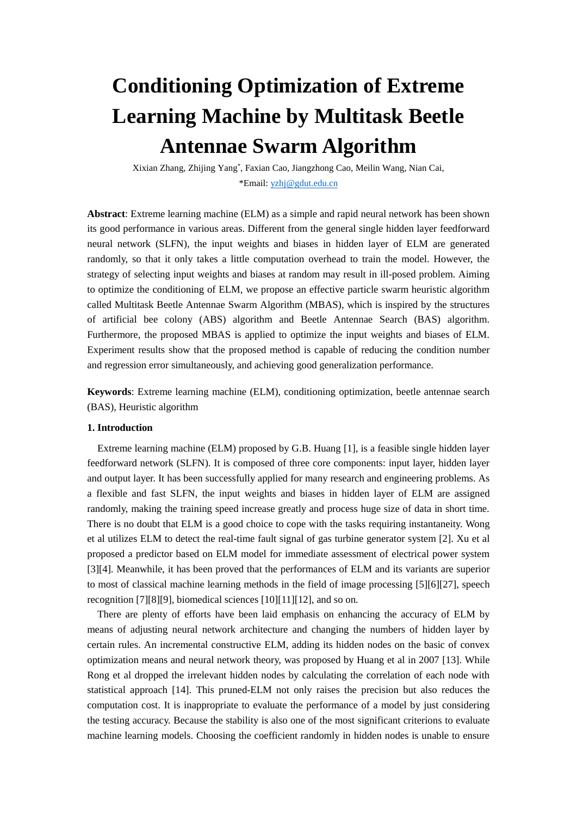# **Conditioning Optimization of Extreme Learning Machine by Multitask Beetle Antennae Swarm Algorithm**

Xixian Zhang, Zhijing Yang\* , Faxian Cao, Jiangzhong Cao, Meilin Wang, Nian Cai, \*Email: [yzhj@gdut.edu.cn](mailto:yzhj@gdut.edu.cn)

**Abstract**: Extreme learning machine (ELM) as a simple and rapid neural network has been shown its good performance in various areas. Different from the general single hidden layer feedforward neural network (SLFN), the input weights and biases in hidden layer of ELM are generated randomly, so that it only takes a little computation overhead to train the model. However, the strategy of selecting input weights and biases at random may result in ill-posed problem. Aiming to optimize the conditioning of ELM, we propose an effective particle swarm heuristic algorithm called Multitask Beetle Antennae Swarm Algorithm (MBAS), which is inspired by the structures of artificial bee colony (ABS) algorithm and Beetle Antennae Search (BAS) algorithm. Furthermore, the proposed MBAS is applied to optimize the input weights and biases of ELM. Experiment results show that the proposed method is capable of reducing the condition number and regression error simultaneously, and achieving good generalization performance.

**Keywords**: Extreme learning machine (ELM), conditioning optimization, beetle antennae search (BAS), Heuristic algorithm

## **1. Introduction**

Extreme learning machine (ELM) proposed by G.B. Huang [1], is a feasible single hidden layer feedforward network (SLFN). It is composed of three core components: input layer, hidden layer and output layer. It has been successfully applied for many research and engineering problems. As a flexible and fast SLFN, the input weights and biases in hidden layer of ELM are assigned randomly, making the training speed increase greatly and process huge size of data in short time. There is no doubt that ELM is a good choice to cope with the tasks requiring instantaneity. Wong et al utilizes ELM to detect the real-time fault signal of gas turbine generator system [2]. Xu et al proposed a predictor based on ELM model for immediate assessment of electrical power system [3][4]. Meanwhile, it has been proved that the performances of ELM and its variants are superior to most of classical machine learning methods in the field of image processing [5][6][27], speech recognition [7][8][9], biomedical sciences [10][11][12], and so on.

There are plenty of efforts have been laid emphasis on enhancing the accuracy of ELM by means of adjusting neural network architecture and changing the numbers of hidden layer by certain rules. An incremental constructive ELM, adding its hidden nodes on the basic of convex optimization means and neural network theory, was proposed by Huang et al in 2007 [13]. While Rong et al dropped the irrelevant hidden nodes by calculating the correlation of each node with statistical approach [14]. This pruned-ELM not only raises the precision but also reduces the computation cost. It is inappropriate to evaluate the performance of a model by just considering the testing accuracy. Because the stability is also one of the most significant criterions to evaluate machine learning models. Choosing the coefficient randomly in hidden nodes is unable to ensure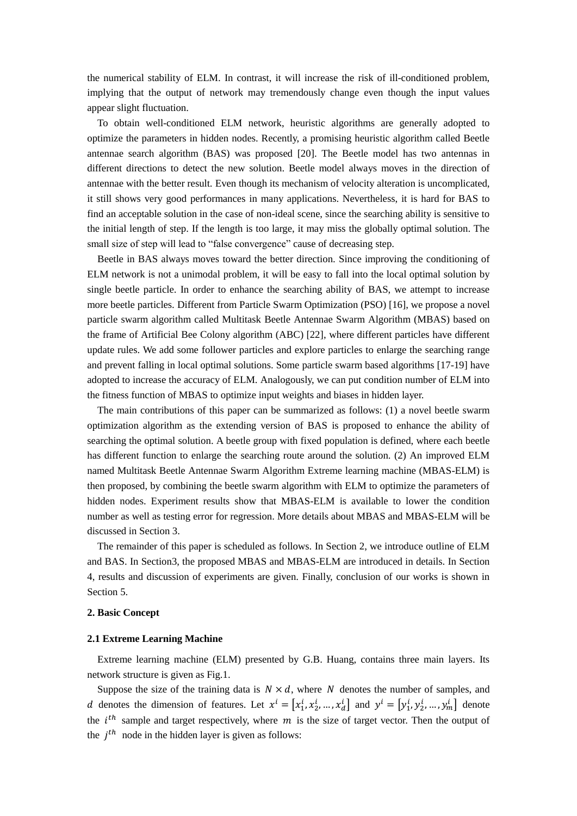the numerical stability of ELM. In contrast, it will increase the risk of ill-conditioned problem, implying that the output of network may tremendously change even though the input values appear slight fluctuation.

To obtain well-conditioned ELM network, heuristic algorithms are generally adopted to optimize the parameters in hidden nodes. Recently, a promising heuristic algorithm called Beetle antennae search algorithm (BAS) was proposed [20]. The Beetle model has two antennas in different directions to detect the new solution. Beetle model always moves in the direction of antennae with the better result. Even though its mechanism of velocity alteration is uncomplicated, it still shows very good performances in many applications. Nevertheless, it is hard for BAS to find an acceptable solution in the case of non-ideal scene, since the searching ability is sensitive to the initial length of step. If the length is too large, it may miss the globally optimal solution. The small size of step will lead to "false convergence" cause of decreasing step.

 Beetle in BAS always moves toward the better direction. Since improving the conditioning of ELM network is not a unimodal problem, it will be easy to fall into the local optimal solution by single beetle particle. In order to enhance the searching ability of BAS, we attempt to increase more beetle particles. Different from Particle Swarm Optimization (PSO) [16], we propose a novel particle swarm algorithm called Multitask Beetle Antennae Swarm Algorithm (MBAS) based on the frame of Artificial Bee Colony algorithm (ABC) [22], where different particles have different update rules. We add some follower particles and explore particles to enlarge the searching range and prevent falling in local optimal solutions. Some particle swarm based algorithms [17-19] have adopted to increase the accuracy of ELM. Analogously, we can put condition number of ELM into the fitness function of MBAS to optimize input weights and biases in hidden layer.

The main contributions of this paper can be summarized as follows: (1) a novel beetle swarm optimization algorithm as the extending version of BAS is proposed to enhance the ability of searching the optimal solution. A beetle group with fixed population is defined, where each beetle has different function to enlarge the searching route around the solution. (2) An improved ELM named Multitask Beetle Antennae Swarm Algorithm Extreme learning machine (MBAS-ELM) is then proposed, by combining the beetle swarm algorithm with ELM to optimize the parameters of hidden nodes. Experiment results show that MBAS-ELM is available to lower the condition number as well as testing error for regression. More details about MBAS and MBAS-ELM will be discussed in Section 3.

The remainder of this paper is scheduled as follows. In Section 2, we introduce outline of ELM and BAS. In Section3, the proposed MBAS and MBAS-ELM are introduced in details. In Section 4, results and discussion of experiments are given. Finally, conclusion of our works is shown in Section 5.

## **2. Basic Concept**

#### **2.1 Extreme Learning Machine**

Extreme learning machine (ELM) presented by G.B. Huang, contains three main layers. Its network structure is given as Fig.1.

Suppose the size of the training data is  $N \times d$ , where N denotes the number of samples, and d denotes the dimension of features. Let  $x^i = [x_1^i, x_2^i, ..., x_d^i]$  and  $y^i = [y_1^i, y_2^i, ..., y_m^i]$  denote the  $i<sup>th</sup>$  sample and target respectively, where m is the size of target vector. Then the output of the  $j<sup>th</sup>$  node in the hidden layer is given as follows: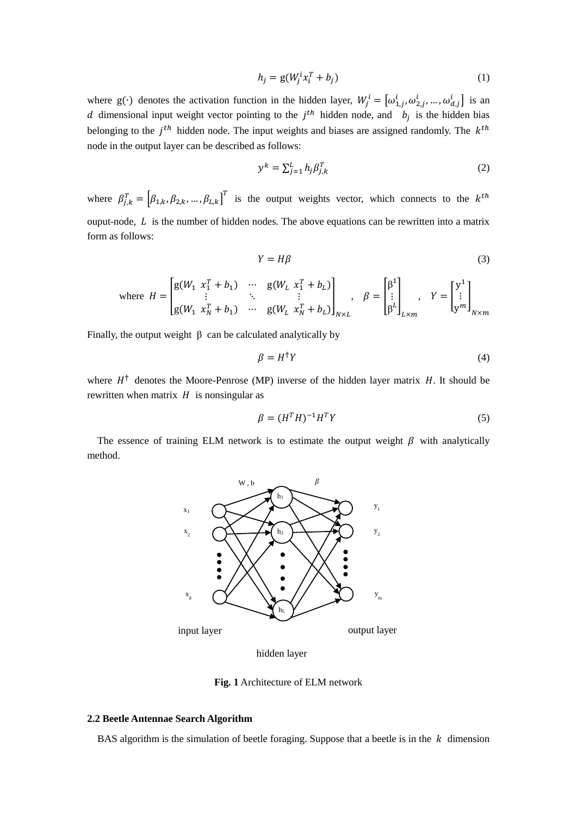$$
h_j = g(W_j^i x_i^T + b_j) \tag{1}
$$

where g(⋅) denotes the activation function in the hidden layer,  $W_j^i = [\omega_{1,j}^i, \omega_{2,j}^i, ..., \omega_{d,j}^i]$  is an d dimensional input weight vector pointing to the  $j<sup>th</sup>$  hidden node, and  $b_j$  is the hidden bias belonging to the  $j<sup>th</sup>$  hidden node. The input weights and biases are assigned randomly. The  $k<sup>th</sup>$ node in the output layer can be described as follows:

$$
y^k = \sum_{j=1}^L h_j \beta_{j,k}^T
$$
 (2)

where  $\beta_{j,k}^T = [\beta_{1,k}, \beta_{2,k}, ..., \beta_{L,k}]^T$  is the output weights vector, which connects to the  $k^{th}$ ouput-node,  $L$  is the number of hidden nodes. The above equations can be rewritten into a matrix form as follows:

$$
Y = H\beta \tag{3}
$$

where 
$$
H = \begin{bmatrix} g(W_1 & x_1^T + b_1) & \cdots & g(W_L & x_1^T + b_L) \\ \vdots & \ddots & \vdots & \vdots \\ g(W_1 & x_N^T + b_1) & \cdots & g(W_L & x_N^T + b_L) \end{bmatrix}_{N \times L}, \quad \beta = \begin{bmatrix} \beta^1 \\ \vdots \\ \beta^L \end{bmatrix}_{L \times m}, \quad Y = \begin{bmatrix} y^1 \\ \vdots \\ y^m \end{bmatrix}_{N \times m}
$$

Finally, the output weight  $\beta$  can be calculated analytically by

$$
\beta = H^{\dagger} Y \tag{4}
$$

where  $H^{\dagger}$  denotes the Moore-Penrose (MP) inverse of the hidden layer matrix H. It should be rewritten when matrix  $H$  is nonsingular as

$$
\beta = (H^T H)^{-1} H^T Y \tag{5}
$$

The essence of training ELM network is to estimate the output weight  $\beta$  with analytically method.



hidden layer

**Fig. 1** Architecture of ELM network

# **2.2 Beetle Antennae Search Algorithm**

BAS algorithm is the simulation of beetle foraging. Suppose that a beetle is in the  $k$  dimension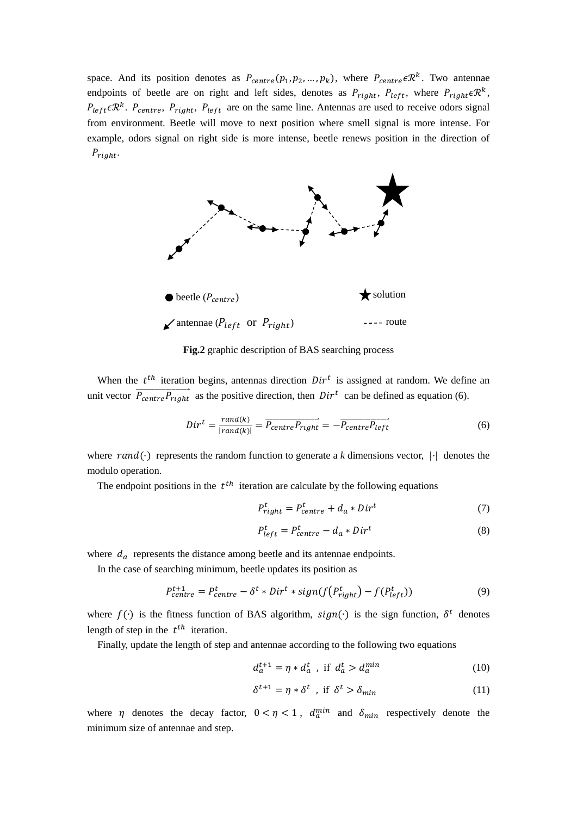space. And its position denotes as  $P_{centre}(p_1, p_2, ..., p_k)$ , where  $P_{centre} \in \mathbb{R}^k$ . Two antennae endpoints of beetle are on right and left sides, denotes as  $P_{right}$ ,  $P_{left}$ , where  $P_{right} \in \mathbb{R}^{k}$ ,  $P_{left} \in \mathbb{R}^k$ .  $P_{centre}$ ,  $P_{right}$ ,  $P_{left}$  are on the same line. Antennas are used to receive odors signal from environment. Beetle will move to next position where smell signal is more intense. For example, odors signal on right side is more intense, beetle renews position in the direction of  $P_{right}.$ 



**Fig.2** graphic description of BAS searching process

When the  $t^{th}$  iteration begins, antennas direction  $Dir^{t}$  is assigned at random. We define an unit vector  $\overrightarrow{P_{centre}P_{right}}$  as the positive direction, then  $Dir^{t}$  can be defined as equation (6).

$$
Dir^{t} = \frac{rand(k)}{|rand(k)|} = \overrightarrow{P_{centre}P_{right}} = -\overrightarrow{P_{centre}P_{left}} \tag{6}
$$

where rand(⋅) represents the random function to generate a *k* dimensions vector, |⋅| denotes the modulo operation.

The endpoint positions in the  $t^{th}$  iteration are calculate by the following equations

$$
P_{right}^{t} = P_{centre}^{t} + d_a * Dir^{t}
$$
 (7)

$$
P_{left}^{t} = P_{centre}^{t} - d_a * Dir^{t}
$$
\n
$$
(8)
$$

where  $d_a$  represents the distance among beetle and its antennae endpoints.

In the case of searching minimum, beetle updates its position as

$$
P_{centre}^{t+1} = P_{centre}^t - \delta^t * Dir^t * sign(f(P_{right}^t) - f(P_{left}^t))
$$
\n(9)

where  $f(\cdot)$  is the fitness function of BAS algorithm,  $sign(\cdot)$  is the sign function,  $\delta^t$  denotes length of step in the  $t^{th}$  iteration.

Finally, update the length of step and antennae according to the following two equations

$$
d_a^{t+1} = \eta * d_a^t, \text{ if } d_a^t > d_a^{min} \tag{10}
$$

$$
\delta^{t+1} = \eta * \delta^t \text{ , if } \delta^t > \delta_{\min} \tag{11}
$$

where  $\eta$  denotes the decay factor,  $0 < \eta < 1$ ,  $d_a^{min}$  and  $\delta_{min}$  respectively denote the minimum size of antennae and step.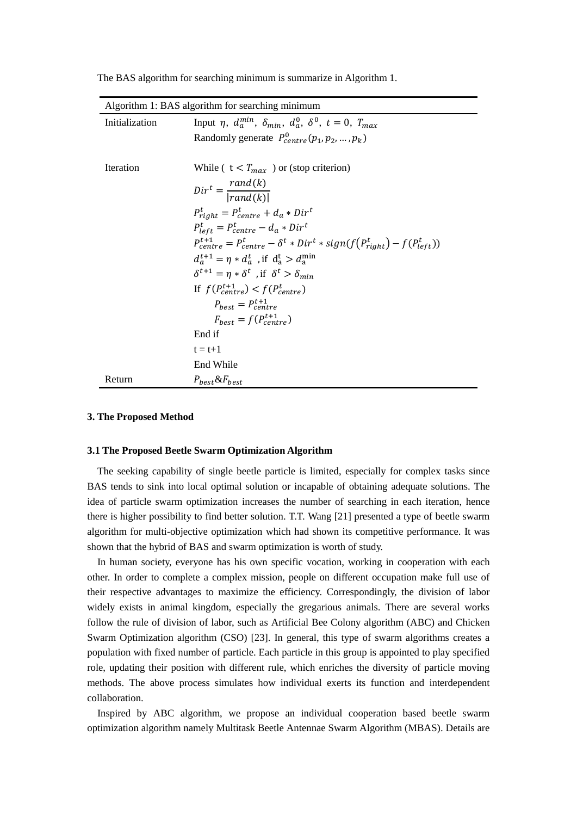|  |  |  | The BAS algorithm for searching minimum is summarize in Algorithm 1. |  |  |
|--|--|--|----------------------------------------------------------------------|--|--|
|  |  |  |                                                                      |  |  |
|  |  |  |                                                                      |  |  |

|                | Algorithm 1: BAS algorithm for searching minimum                                            |
|----------------|---------------------------------------------------------------------------------------------|
| Initialization | Input $\eta$ , $d_a^{min}$ , $\delta_{min}$ , $d_a^0$ , $\delta^0$ , $t = 0$ , $T_{max}$    |
|                | Randomly generate $P_{centre}^0(p_1, p_2, , p_k)$                                           |
|                |                                                                                             |
| Iteration      | While ( $t < T_{max}$ ) or (stop criterion)                                                 |
|                | $Dir^t = \frac{rand(k)}{ rand(k) }$                                                         |
|                |                                                                                             |
|                | $P_{right}^t = P_{centre}^t + d_a * Dir^t$                                                  |
|                | $P_{left}^{t} = P_{centre}^{t} - d_a * Dir^{t}$                                             |
|                | $P_{centre}^{t+1} = P_{centre}^t - \delta^t * Dir^t * sign(f(P_{right}^t) - f(P_{left}^t))$ |
|                | $d_a^{t+1} = \eta * d_a^t$ , if $d_a^t > d_a^{\min}$                                        |
|                | $\delta^{t+1} = \eta * \delta^t$ , if $\delta^t > \delta_{min}$                             |
|                | If $f(P_{centre}^{t+1}) < f(P_{centre}^{t})$                                                |
|                | $P_{hest} = P_{centre}^{t+1}$                                                               |
|                | $F_{host} = f(P_{centre}^{t+1})$                                                            |
|                | End if                                                                                      |
|                | $t = t+1$                                                                                   |
|                | End While                                                                                   |
| Return         | $P_{best} & F_{best}$                                                                       |

#### **3. The Proposed Method**

## **3.1 The Proposed Beetle Swarm Optimization Algorithm**

The seeking capability of single beetle particle is limited, especially for complex tasks since BAS tends to sink into local optimal solution or incapable of obtaining adequate solutions. The idea of particle swarm optimization increases the number of searching in each iteration, hence there is higher possibility to find better solution. T.T. Wang [21] presented a type of beetle swarm algorithm for multi-objective optimization which had shown its competitive performance. It was shown that the hybrid of BAS and swarm optimization is worth of study.

In human society, everyone has his own specific vocation, working in cooperation with each other. In order to complete a complex mission, people on different occupation make full use of their respective advantages to maximize the efficiency. Correspondingly, the division of labor widely exists in animal kingdom, especially the gregarious animals. There are several works follow the rule of division of labor, such as Artificial Bee Colony algorithm (ABC) and Chicken Swarm Optimization algorithm (CSO) [23]. In general, this type of swarm algorithms creates a population with fixed number of particle. Each particle in this group is appointed to play specified role, updating their position with different rule, which enriches the diversity of particle moving methods. The above process simulates how individual exerts its function and interdependent collaboration.

Inspired by ABC algorithm, we propose an individual cooperation based beetle swarm optimization algorithm namely Multitask Beetle Antennae Swarm Algorithm (MBAS). Details are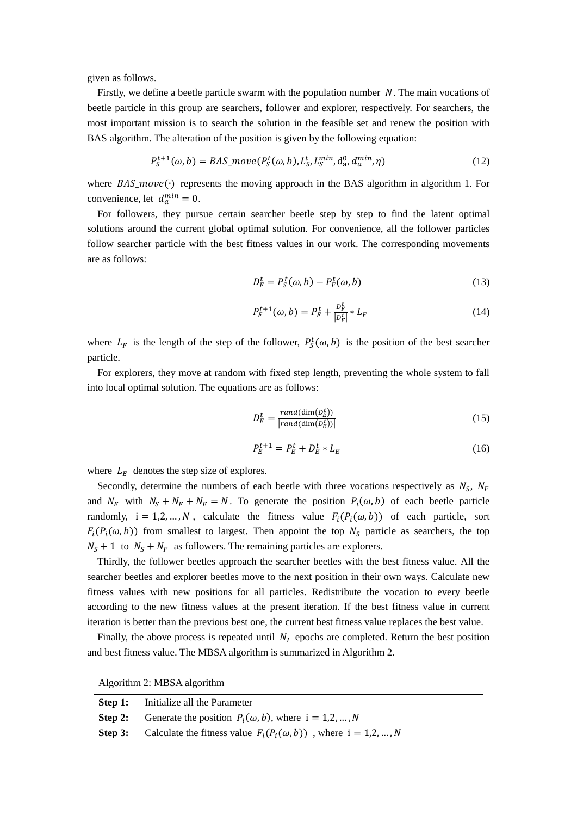given as follows.

Firstly, we define a beetle particle swarm with the population number  $N$ . The main vocations of beetle particle in this group are searchers, follower and explorer, respectively. For searchers, the most important mission is to search the solution in the feasible set and renew the position with BAS algorithm. The alteration of the position is given by the following equation:

$$
P_S^{t+1}(\omega, b) = BAS\_move(P_S^t(\omega, b), L_S^t, L_S^{min}, d_a^0, d_a^{min}, \eta)
$$
\n(12)

where  $BAS\_move(\cdot)$  represents the moving approach in the BAS algorithm in algorithm 1. For convenience, let  $d_a^{min} = 0$ .

For followers, they pursue certain searcher beetle step by step to find the latent optimal solutions around the current global optimal solution. For convenience, all the follower particles follow searcher particle with the best fitness values in our work. The corresponding movements are as follows:

$$
D_F^t = P_S^t(\omega, b) - P_F^t(\omega, b)
$$
\n(13)

$$
P_F^{t+1}(\omega, b) = P_F^t + \frac{D_F^t}{|D_F^t|} * L_F
$$
\n(14)

where  $L_F$  is the length of the step of the follower,  $P_S^t(\omega, b)$  is the position of the best searcher particle.

For explorers, they move at random with fixed step length, preventing the whole system to fall into local optimal solution. The equations are as follows:

$$
D_E^t = \frac{rand(\dim(D_E^t))}{|rand(\dim(D_E^t))|}
$$
\n(15)

$$
P_E^{t+1} = P_E^t + D_E^t * L_E \tag{16}
$$

where  $L_E$  denotes the step size of explores.

Secondly, determine the numbers of each beetle with three vocations respectively as  $N_S$ ,  $N_F$ and  $N_E$  with  $N_S + N_F + N_E = N$ . To generate the position  $P_i(\omega, b)$  of each beetle particle randomly,  $i = 1, 2, ..., N$ , calculate the fitness value  $F_i(P_i(\omega, b))$  of each particle, sort  $F_i(P_i(\omega, b))$  from smallest to largest. Then appoint the top  $N_s$  particle as searchers, the top  $N_s + 1$  to  $N_s + N_F$  as followers. The remaining particles are explorers.

Thirdly, the follower beetles approach the searcher beetles with the best fitness value. All the searcher beetles and explorer beetles move to the next position in their own ways. Calculate new fitness values with new positions for all particles. Redistribute the vocation to every beetle according to the new fitness values at the present iteration. If the best fitness value in current iteration is better than the previous best one, the current best fitness value replaces the best value.

Finally, the above process is repeated until  $N_I$  epochs are completed. Return the best position and best fitness value. The MBSA algorithm is summarized in Algorithm 2.

| Algorithm 2: MBSA algorithm |                                                                               |  |  |  |
|-----------------------------|-------------------------------------------------------------------------------|--|--|--|
|                             | <b>Step 1:</b> Initialize all the Parameter                                   |  |  |  |
|                             | <b>Step 2:</b> Generate the position $P_i(\omega, b)$ , where $i = 1, 2, , N$ |  |  |  |
| Step 3:                     | Calculate the fitness value $F_i(P_i(\omega, b))$ , where $i = 1, 2, , N$     |  |  |  |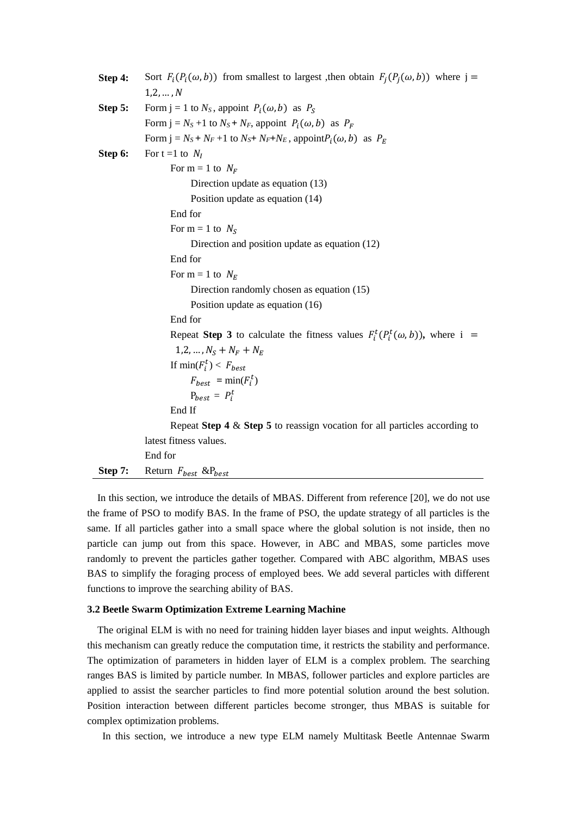```
Step 4: Sort F_i(P_i(\omega, b)) from smallest to largest ,then obtain F_i(P_i(\omega, b)) where j =
            1, 2, \ldots, NStep 5: Form j = 1 to N_S, appoint P_i(\omega, b) as P_SForm j = N_s + 1 to N_s + N_F, appoint P_i(\omega, b) as P_FForm j = N_s + N_F + 1 to N_s + N_F + N_E, appointP_i(\omega, b) as P_EStep 6: For t = 1 to N_IFor m = 1 to N_F Direction update as equation (13)
                        Position update as equation (14)
                   End for
                  For m = 1 to N_S Direction and position update as equation (12)
                   End for 
                  For m = 1 to N_F Direction randomly chosen as equation (15)
                        Position update as equation (16)
                   End for
            Repeat Step 3 to calculate the fitness values F_i^t(P_i^t(\omega, b)), where i =
                   1, 2, ..., N_S + N_F + N_EIf \min(F_i^t) < F_{best}F_{best} = \min(F_i^t)P_{best} = P_i^t End If
                   Repeat Step 4 & Step 5 to reassign vocation for all particles according to 
            latest fitness values.
           End for
Step 7: Return F_{best} &P<sub>best</sub>
```
 In this section, we introduce the details of MBAS. Different from reference [20], we do not use the frame of PSO to modify BAS. In the frame of PSO, the update strategy of all particles is the same. If all particles gather into a small space where the global solution is not inside, then no particle can jump out from this space. However, in ABC and MBAS, some particles move randomly to prevent the particles gather together. Compared with ABC algorithm, MBAS uses BAS to simplify the foraging process of employed bees. We add several particles with different functions to improve the searching ability of BAS.

### **3.2 Beetle Swarm Optimization Extreme Learning Machine**

The original ELM is with no need for training hidden layer biases and input weights. Although this mechanism can greatly reduce the computation time, it restricts the stability and performance. The optimization of parameters in hidden layer of ELM is a complex problem. The searching ranges BAS is limited by particle number. In MBAS, follower particles and explore particles are applied to assist the searcher particles to find more potential solution around the best solution. Position interaction between different particles become stronger, thus MBAS is suitable for complex optimization problems.

In this section, we introduce a new type ELM namely Multitask Beetle Antennae Swarm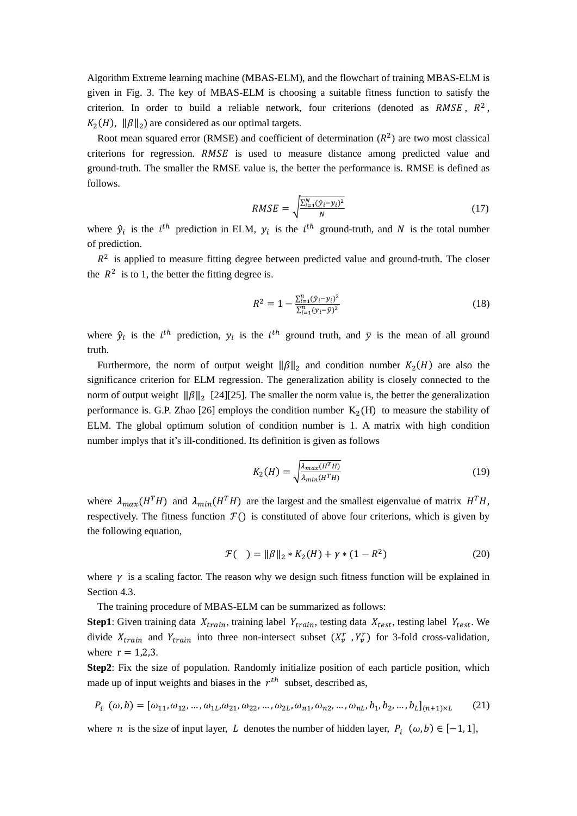Algorithm Extreme learning machine (MBAS-ELM), and the flowchart of training MBAS-ELM is given in Fig. 3. The key of MBAS-ELM is choosing a suitable fitness function to satisfy the criterion. In order to build a reliable network, four criterions (denoted as RMSE,  $R^2$ ,  $K_2(H)$ ,  $\|\beta\|_2$ ) are considered as our optimal targets.

Root mean squared error (RMSE) and coefficient of determination  $(R^2)$  are two most classical criterions for regression. RMSE is used to measure distance among predicted value and ground-truth. The smaller the RMSE value is, the better the performance is. RMSE is defined as follows.

$$
RMSE = \sqrt{\frac{\sum_{i=1}^{N} (\hat{y}_i - y_i)^2}{N}}
$$
(17)

where  $\hat{y}_i$  is the *i*<sup>th</sup> prediction in ELM,  $y_i$  is the *i*<sup>th</sup> ground-truth, and *N* is the total number of prediction.

 $R<sup>2</sup>$  is applied to measure fitting degree between predicted value and ground-truth. The closer the  $R^2$  is to 1, the better the fitting degree is.

$$
R^{2} = 1 - \frac{\sum_{i=1}^{n} (\hat{y}_{i} - y_{i})^{2}}{\sum_{i=1}^{n} (y_{i} - \bar{y})^{2}}
$$
(18)

where  $\hat{y}_i$  is the *i*<sup>th</sup> prediction,  $y_i$  is the *i*<sup>th</sup> ground truth, and  $\bar{y}$  is the mean of all ground truth.

Furthermore, the norm of output weight  $\|\beta\|_2$  and condition number  $K_2(H)$  are also the significance criterion for ELM regression. The generalization ability is closely connected to the norm of output weight  $\|\beta\|_2$  [24][25]. The smaller the norm value is, the better the generalization performance is. G.P. Zhao [26] employs the condition number  $K_2(H)$  to measure the stability of ELM. The global optimum solution of condition number is 1. A matrix with high condition number implys that it's ill-conditioned. Its definition is given as follows

$$
K_2(H) = \sqrt{\frac{\lambda_{max}(H^TH)}{\lambda_{min}(H^TH)}}\tag{19}
$$

where  $\lambda_{max}(H^T H)$  and  $\lambda_{min}(H^T H)$  are the largest and the smallest eigenvalue of matrix  $H^T H$ , respectively. The fitness function  $\mathcal{F}()$  is constituted of above four criterions, which is given by the following equation,

$$
\mathcal{F}(\ ) = \|\beta\|_2 * K_2(H) + \gamma * (1 - R^2) \tag{20}
$$

where  $\gamma$  is a scaling factor. The reason why we design such fitness function will be explained in Section 4.3.

The training procedure of MBAS-ELM can be summarized as follows:

**Step1**: Given training data  $X_{train}$ , training label  $Y_{train}$ , testing data  $X_{test}$ , testing label  $Y_{test}$ . We divide  $X_{train}$  and  $Y_{train}$  into three non-intersect subset  $(X_v^r, Y_v^r)$  for 3-fold cross-validation, where  $r = 1,2,3$ .

**Step2**: Fix the size of population. Randomly initialize position of each particle position, which made up of input weights and biases in the  $r^{th}$  subset, described as,

$$
P_i \ (\omega, b) = [\omega_{11}, \omega_{12}, \dots, \omega_{1L}, \omega_{21}, \omega_{22}, \dots, \omega_{2L}, \omega_{n1}, \omega_{n2}, \dots, \omega_{nL}, b_1, b_2, \dots, b_L]_{(n+1)\times L} \tag{21}
$$

where *n* is the size of input layer, *L* denotes the number of hidden layer,  $P_i$  ( $\omega$ ,  $b$ )  $\in$  [-1, 1],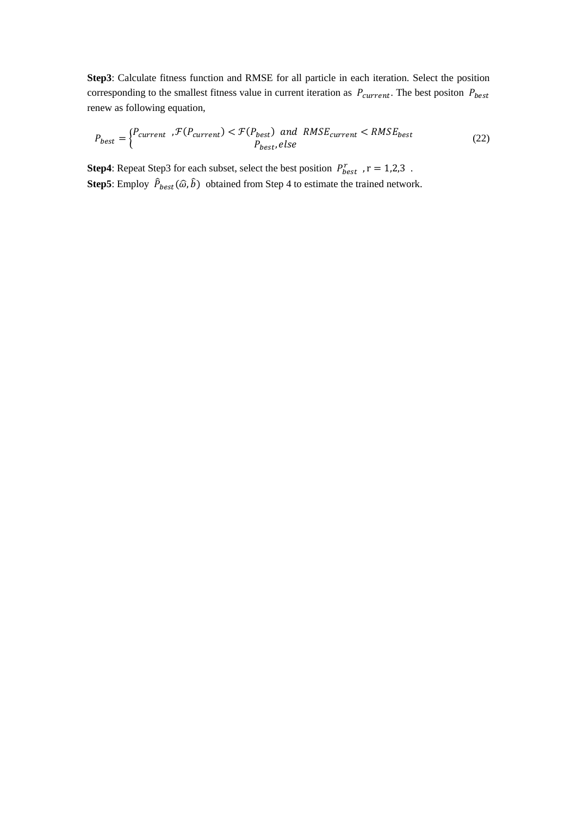**Step3**: Calculate fitness function and RMSE for all particle in each iteration. Select the position corresponding to the smallest fitness value in current iteration as  $P_{current}$ . The best positon  $P_{best}$ renew as following equation,

$$
P_{best} = \begin{cases} P_{current} & \text{if } (P_{current}) < \text{if } (P_{best}) \text{ and } RMSE_{current} < RMSE_{best} \\ P_{best}, else \end{cases} \tag{22}
$$

**Step4**: Repeat Step3 for each subset, select the best position  $P_{best}^r$ ,  $r = 1,2,3$ . **Step5**: Employ  $\hat{P}_{best}(\hat{\omega}, \hat{b})$  obtained from Step 4 to estimate the trained network.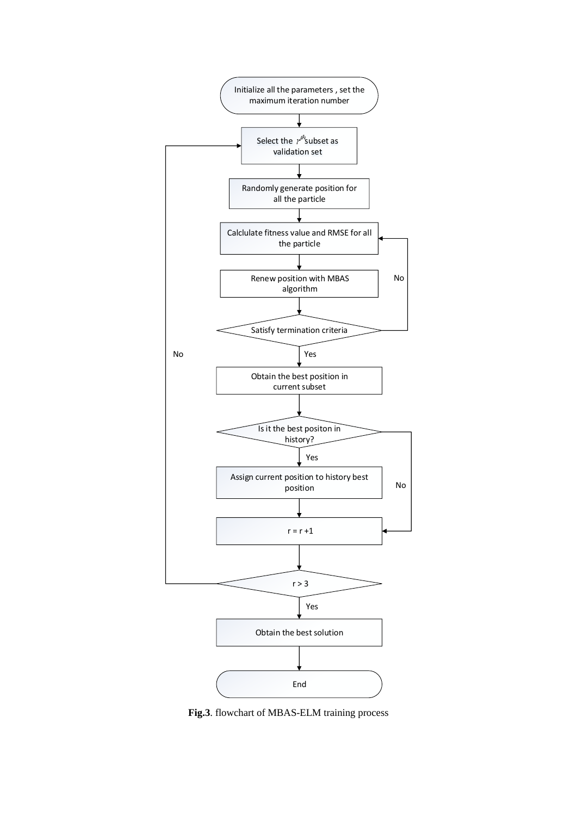

**Fig.3**. flowchart of MBAS-ELM training process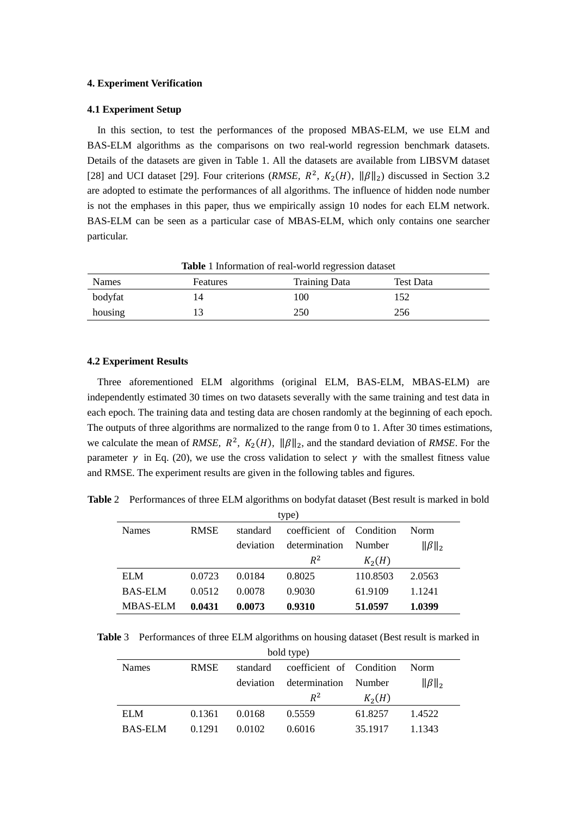## **4. Experiment Verification**

## **4.1 Experiment Setup**

In this section, to test the performances of the proposed MBAS-ELM, we use ELM and BAS-ELM algorithms as the comparisons on two real-world regression benchmark datasets. Details of the datasets are given in Table 1. All the datasets are available from LIBSVM dataset [28] and UCI dataset [29]. Four criterions (*RMSE*,  $R^2$ ,  $K_2(H)$ ,  $\|\beta\|_2$ ) discussed in Section 3.2 are adopted to estimate the performances of all algorithms. The influence of hidden node number is not the emphases in this paper, thus we empirically assign 10 nodes for each ELM network. BAS-ELM can be seen as a particular case of MBAS-ELM, which only contains one searcher particular.

| Table 1 Information of real-world regression dataset |          |                      |           |  |  |  |  |
|------------------------------------------------------|----------|----------------------|-----------|--|--|--|--|
| <b>Names</b>                                         | Features | <b>Training Data</b> | Test Data |  |  |  |  |
| bodyfat                                              |          | 100                  | 152       |  |  |  |  |
| housing                                              |          | 250                  | 256       |  |  |  |  |

#### **4.2 Experiment Results**

Three aforementioned ELM algorithms (original ELM, BAS-ELM, MBAS-ELM) are independently estimated 30 times on two datasets severally with the same training and test data in each epoch. The training data and testing data are chosen randomly at the beginning of each epoch. The outputs of three algorithms are normalized to the range from 0 to 1. After 30 times estimations, we calculate the mean of *RMSE*,  $R^2$ ,  $K_2(H)$ ,  $\|\beta\|_2$ , and the standard deviation of *RMSE*. For the parameter  $\gamma$  in Eq. (20), we use the cross validation to select  $\gamma$  with the smallest fitness value and RMSE. The experiment results are given in the following tables and figures.

**Table** 2 Performances of three ELM algorithms on bodyfat dataset (Best result is marked in bold

| type)           |             |           |                          |          |               |  |  |
|-----------------|-------------|-----------|--------------------------|----------|---------------|--|--|
| Names           | <b>RMSE</b> | standard  | coefficient of Condition |          | <b>Norm</b>   |  |  |
|                 |             | deviation | determination            | Number   | $\ \beta\ _2$ |  |  |
|                 |             |           | $R^2$                    | $K_2(H)$ |               |  |  |
| <b>ELM</b>      | 0.0723      | 0.0184    | 0.8025                   | 110.8503 | 2.0563        |  |  |
| <b>BAS-ELM</b>  | 0.0512      | 0.0078    | 0.9030                   | 61.9109  | 1.1241        |  |  |
| <b>MBAS-ELM</b> | 0.0431      | 0.0073    | 0.9310                   | 51.0597  | 1.0399        |  |  |

**Table** 3 Performances of three ELM algorithms on housing dataset (Best result is marked in

| bold type)     |             |           |                          |          |               |  |  |
|----------------|-------------|-----------|--------------------------|----------|---------------|--|--|
| <b>Names</b>   | <b>RMSE</b> | standard  | coefficient of Condition |          | Norm.         |  |  |
|                |             | deviation | determination            | Number   | $\ \beta\ _2$ |  |  |
|                |             |           | $R^2$                    | $K_2(H)$ |               |  |  |
| <b>ELM</b>     | 0.1361      | 0.0168    | 0.5559                   | 61.8257  | 1.4522        |  |  |
| <b>BAS-ELM</b> | 0.1291      | 0.0102    | 0.6016                   | 35.1917  | 1.1343        |  |  |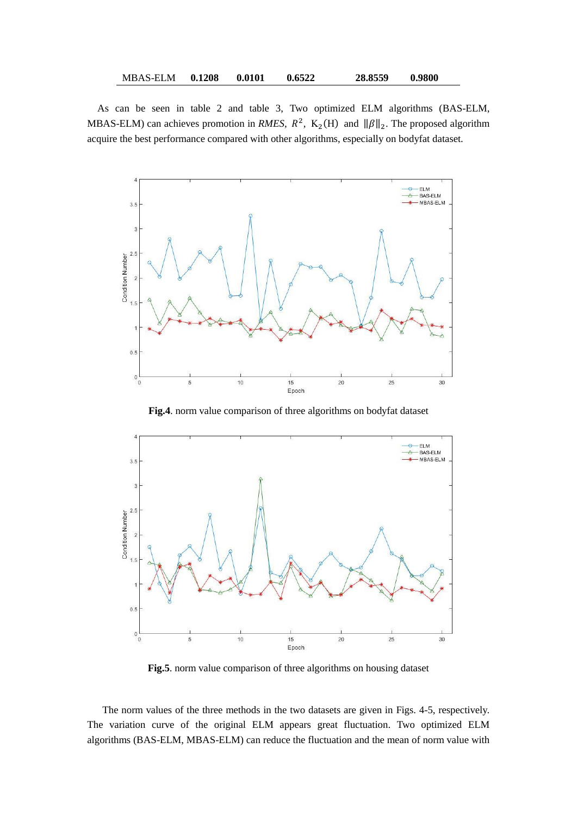| <b>MBAS-ELM</b> | 0.1208 | 0.0101 | 0.6522 | 28.8559 | 0.9800 |
|-----------------|--------|--------|--------|---------|--------|
|                 |        |        |        |         |        |

As can be seen in table 2 and table 3, Two optimized ELM algorithms (BAS-ELM, MBAS-ELM) can achieves promotion in *RMES*,  $R^2$ , K<sub>2</sub>(H) and  $\|\beta\|_2$ . The proposed algorithm acquire the best performance compared with other algorithms, especially on bodyfat dataset.



**Fig.4**. norm value comparison of three algorithms on bodyfat dataset



**Fig.5**. norm value comparison of three algorithms on housing dataset

The norm values of the three methods in the two datasets are given in Figs. 4-5, respectively. The variation curve of the original ELM appears great fluctuation. Two optimized ELM algorithms (BAS-ELM, MBAS-ELM) can reduce the fluctuation and the mean of norm value with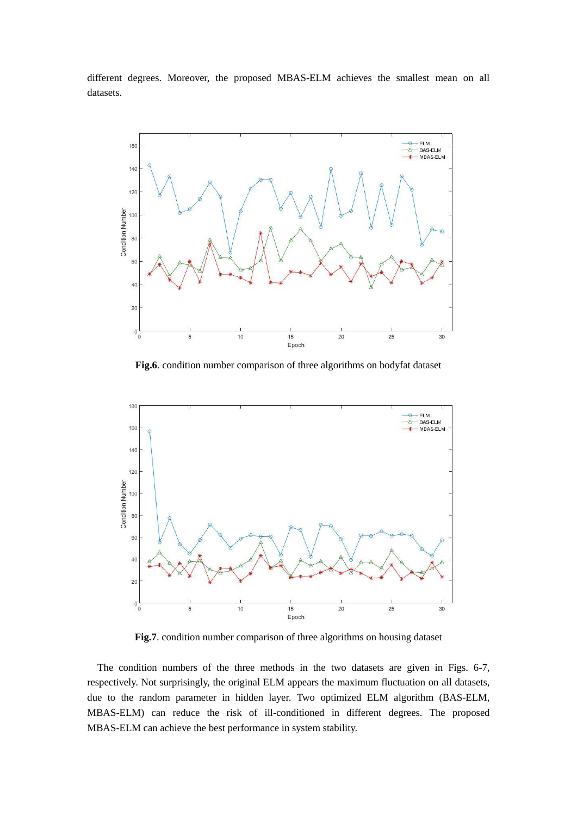different degrees. Moreover, the proposed MBAS-ELM achieves the smallest mean on all datasets.



**Fig.6**. condition number comparison of three algorithms on bodyfat dataset



**Fig.7**. condition number comparison of three algorithms on housing dataset

The condition numbers of the three methods in the two datasets are given in Figs. 6-7, respectively. Not surprisingly, the original ELM appears the maximum fluctuation on all datasets, due to the random parameter in hidden layer. Two optimized ELM algorithm (BAS-ELM, MBAS-ELM) can reduce the risk of ill-conditioned in different degrees. The proposed MBAS-ELM can achieve the best performance in system stability.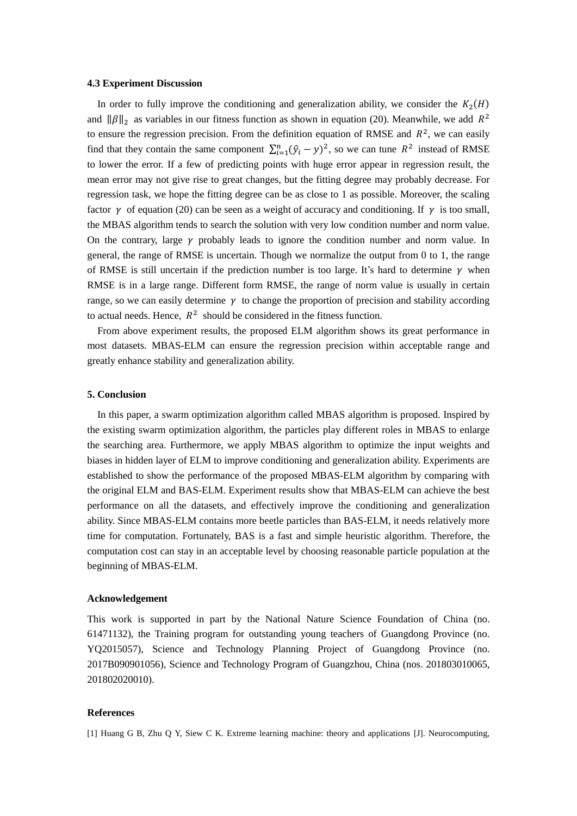#### **4.3 Experiment Discussion**

In order to fully improve the conditioning and generalization ability, we consider the  $K_2(H)$ and  $\|\beta\|_2$  as variables in our fitness function as shown in equation (20). Meanwhile, we add  $R^2$ to ensure the regression precision. From the definition equation of RMSE and  $R^2$ , we can easily find that they contain the same component  $\sum_{i=1}^{n} (\hat{y}_i - y)^2$ , so we can tune  $R^2$  instead of RMSE to lower the error. If a few of predicting points with huge error appear in regression result, the mean error may not give rise to great changes, but the fitting degree may probably decrease. For regression task, we hope the fitting degree can be as close to 1 as possible. Moreover, the scaling factor  $\gamma$  of equation (20) can be seen as a weight of accuracy and conditioning. If  $\gamma$  is too small, the MBAS algorithm tends to search the solution with very low condition number and norm value. On the contrary, large  $\gamma$  probably leads to ignore the condition number and norm value. In general, the range of RMSE is uncertain. Though we normalize the output from 0 to 1, the range of RMSE is still uncertain if the prediction number is too large. It's hard to determine  $\gamma$  when RMSE is in a large range. Different form RMSE, the range of norm value is usually in certain range, so we can easily determine  $\gamma$  to change the proportion of precision and stability according to actual needs. Hence,  $R^2$  should be considered in the fitness function.

From above experiment results, the proposed ELM algorithm shows its great performance in most datasets. MBAS-ELM can ensure the regression precision within acceptable range and greatly enhance stability and generalization ability.

#### **5. Conclusion**

In this paper, a swarm optimization algorithm called MBAS algorithm is proposed. Inspired by the existing swarm optimization algorithm, the particles play different roles in MBAS to enlarge the searching area. Furthermore, we apply MBAS algorithm to optimize the input weights and biases in hidden layer of ELM to improve conditioning and generalization ability. Experiments are established to show the performance of the proposed MBAS-ELM algorithm by comparing with the original ELM and BAS-ELM. Experiment results show that MBAS-ELM can achieve the best performance on all the datasets, and effectively improve the conditioning and generalization ability. Since MBAS-ELM contains more beetle particles than BAS-ELM, it needs relatively more time for computation. Fortunately, BAS is a fast and simple heuristic algorithm. Therefore, the computation cost can stay in an acceptable level by choosing reasonable particle population at the beginning of MBAS-ELM.

## **Acknowledgement**

This work is supported in part by the National Nature Science Foundation of China (no. 61471132), the Training program for outstanding young teachers of Guangdong Province (no. YQ2015057), Science and Technology Planning Project of Guangdong Province (no. 2017B090901056), Science and Technology Program of Guangzhou, China (nos. 201803010065, 201802020010).

#### **References**

[1] Huang G B, Zhu Q Y, Siew C K. Extreme learning machine: theory and applications [J]. Neurocomputing,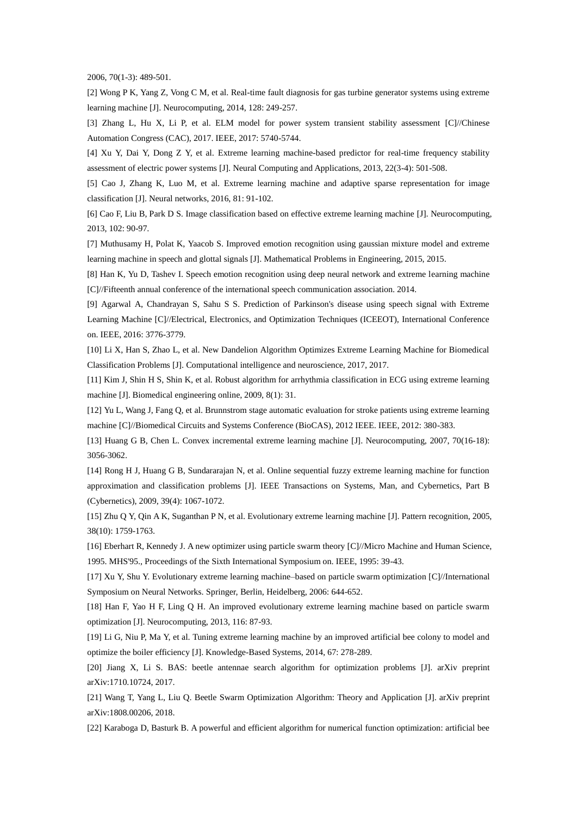2006, 70(1-3): 489-501.

[2] Wong P K, Yang Z, Vong C M, et al. Real-time fault diagnosis for gas turbine generator systems using extreme learning machine [J]. Neurocomputing, 2014, 128: 249-257.

[3] Zhang L, Hu X, Li P, et al. ELM model for power system transient stability assessment [C]//Chinese Automation Congress (CAC), 2017. IEEE, 2017: 5740-5744.

[4] Xu Y, Dai Y, Dong Z Y, et al. Extreme learning machine-based predictor for real-time frequency stability assessment of electric power systems [J]. Neural Computing and Applications, 2013, 22(3-4): 501-508.

[5] Cao J, Zhang K, Luo M, et al. Extreme learning machine and adaptive sparse representation for image classification [J]. Neural networks, 2016, 81: 91-102.

[6] Cao F, Liu B, Park D S. Image classification based on effective extreme learning machine [J]. Neurocomputing, 2013, 102: 90-97.

[7] Muthusamy H, Polat K, Yaacob S. Improved emotion recognition using gaussian mixture model and extreme learning machine in speech and glottal signals [J]. Mathematical Problems in Engineering, 2015, 2015.

[8] Han K, Yu D, Tashev I. Speech emotion recognition using deep neural network and extreme learning machine [C]//Fifteenth annual conference of the international speech communication association. 2014.

[9] Agarwal A, Chandrayan S, Sahu S S. Prediction of Parkinson's disease using speech signal with Extreme Learning Machine [C]//Electrical, Electronics, and Optimization Techniques (ICEEOT), International Conference on. IEEE, 2016: 3776-3779.

[10] Li X, Han S, Zhao L, et al. New Dandelion Algorithm Optimizes Extreme Learning Machine for Biomedical Classification Problems [J]. Computational intelligence and neuroscience, 2017, 2017.

[11] Kim J, Shin H S, Shin K, et al. Robust algorithm for arrhythmia classification in ECG using extreme learning machine [J]. Biomedical engineering online, 2009, 8(1): 31.

[12] Yu L, Wang J, Fang Q, et al. Brunnstrom stage automatic evaluation for stroke patients using extreme learning machine [C]//Biomedical Circuits and Systems Conference (BioCAS), 2012 IEEE. IEEE, 2012: 380-383.

[13] Huang G B, Chen L. Convex incremental extreme learning machine [J]. Neurocomputing, 2007, 70(16-18): 3056-3062.

[14] Rong H J, Huang G B, Sundararajan N, et al. Online sequential fuzzy extreme learning machine for function approximation and classification problems [J]. IEEE Transactions on Systems, Man, and Cybernetics, Part B (Cybernetics), 2009, 39(4): 1067-1072.

[15] Zhu Q Y, Qin A K, Suganthan P N, et al. Evolutionary extreme learning machine [J]. Pattern recognition, 2005, 38(10): 1759-1763.

[16] Eberhart R, Kennedy J. A new optimizer using particle swarm theory [C]//Micro Machine and Human Science, 1995. MHS'95., Proceedings of the Sixth International Symposium on. IEEE, 1995: 39-43.

[17] Xu Y, Shu Y. Evolutionary extreme learning machine–based on particle swarm optimization [C]//International Symposium on Neural Networks. Springer, Berlin, Heidelberg, 2006: 644-652.

[18] Han F, Yao H F, Ling Q H. An improved evolutionary extreme learning machine based on particle swarm optimization [J]. Neurocomputing, 2013, 116: 87-93.

[19] Li G, Niu P, Ma Y, et al. Tuning extreme learning machine by an improved artificial bee colony to model and optimize the boiler efficiency [J]. Knowledge-Based Systems, 2014, 67: 278-289.

[20] Jiang X, Li S. BAS: beetle antennae search algorithm for optimization problems [J]. arXiv preprint arXiv:1710.10724, 2017.

[21] Wang T, Yang L, Liu Q. Beetle Swarm Optimization Algorithm: Theory and Application [J]. arXiv preprint arXiv:1808.00206, 2018.

[22] Karaboga D, Basturk B. A powerful and efficient algorithm for numerical function optimization: artificial bee